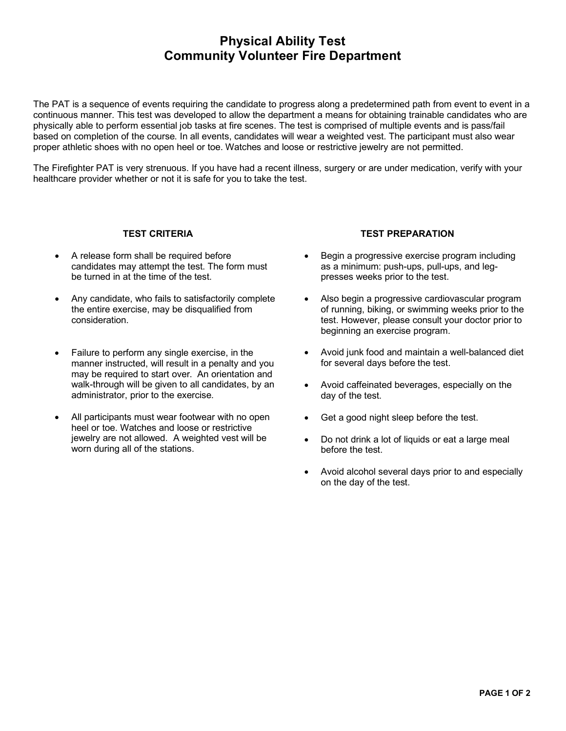## **Physical Ability Test Community Volunteer Fire Department**

The PAT is a sequence of events requiring the candidate to progress along a predetermined path from event to event in a continuous manner. This test was developed to allow the department a means for obtaining trainable candidates who are physically able to perform essential job tasks at fire scenes. The test is comprised of multiple events and is pass/fail based on completion of the course. In all events, candidates will wear a weighted vest. The participant must also wear proper athletic shoes with no open heel or toe. Watches and loose or restrictive jewelry are not permitted.

The Firefighter PAT is very strenuous. If you have had a recent illness, surgery or are under medication, verify with your healthcare provider whether or not it is safe for you to take the test.

#### **TEST CRITERIA**

- A release form shall be required before candidates may attempt the test. The form must be turned in at the time of the test.
- Any candidate, who fails to satisfactorily complete the entire exercise, may be disqualified from consideration.
- Failure to perform any single exercise, in the manner instructed, will result in a penalty and you may be required to start over. An orientation and walk-through will be given to all candidates, by an administrator, prior to the exercise.
- All participants must wear footwear with no open heel or toe. Watches and loose or restrictive jewelry are not allowed. A weighted vest will be worn during all of the stations.

#### **TEST PREPARATION**

- Begin a progressive exercise program including as a minimum: push-ups, pull-ups, and legpresses weeks prior to the test.
- Also begin a progressive cardiovascular program of running, biking, or swimming weeks prior to the test. However, please consult your doctor prior to beginning an exercise program.
- Avoid junk food and maintain a well-balanced diet for several days before the test.
- Avoid caffeinated beverages, especially on the day of the test.
- Get a good night sleep before the test.
- Do not drink a lot of liquids or eat a large meal before the test.
- Avoid alcohol several days prior to and especially on the day of the test.